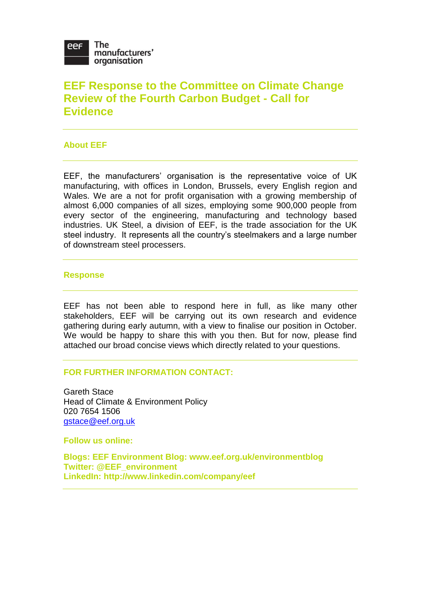

# **EEF Response to the Committee on Climate Change Review of the Fourth Carbon Budget - Call for Evidence**

## **About EEF**

EEF, the manufacturers' organisation is the representative voice of UK manufacturing, with offices in London, Brussels, every English region and Wales. We are a not for profit organisation with a growing membership of almost 6,000 companies of all sizes, employing some 900,000 people from every sector of the engineering, manufacturing and technology based industries. UK Steel, a division of EEF, is the trade association for the UK steel industry. It represents all the country's steelmakers and a large number of downstream steel processers.

#### **Response**

EEF has not been able to respond here in full, as like many other stakeholders, EEF will be carrying out its own research and evidence gathering during early autumn, with a view to finalise our position in October. We would be happy to share this with you then. But for now, please find attached our broad concise views which directly related to your questions.

#### **FOR FURTHER INFORMATION CONTACT:**

Gareth Stace Head of Climate & Environment Policy 020 7654 1506 [gstace@eef.org.uk](mailto:gstace@eef.org.uk)

**Follow us online:**

**Blogs: EEF Environment Blog: www.eef.org.uk/environmentblog Twitter: @EEF\_environment LinkedIn: http://www.linkedin.com/company/eef**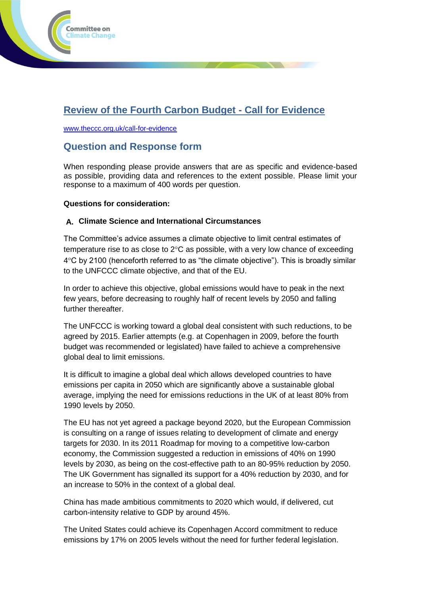

# **Review of the Fourth Carbon Budget - Call for Evidence**

[www.theccc.org.uk/call-for-evidence](http://www.theccc.org.uk/call-for-evidence)

## **Question and Response form**

When responding please provide answers that are as specific and evidence-based as possible, providing data and references to the extent possible. Please limit your response to a maximum of 400 words per question.

#### **Questions for consideration:**

#### **A. Climate Science and International Circumstances**

The Committee's advice assumes a climate objective to limit central estimates of temperature rise to as close to  $2^{\circ}$ C as possible, with a very low chance of exceeding  $4^{\circ}$ C by 2100 (henceforth referred to as "the climate objective"). This is broadly similar to the UNFCCC climate objective, and that of the EU.

In order to achieve this objective, global emissions would have to peak in the next few years, before decreasing to roughly half of recent levels by 2050 and falling further thereafter.

The UNFCCC is working toward a global deal consistent with such reductions, to be agreed by 2015. Earlier attempts (e.g. at Copenhagen in 2009, before the fourth budget was recommended or legislated) have failed to achieve a comprehensive global deal to limit emissions.

It is difficult to imagine a global deal which allows developed countries to have emissions per capita in 2050 which are significantly above a sustainable global average, implying the need for emissions reductions in the UK of at least 80% from 1990 levels by 2050.

The EU has not yet agreed a package beyond 2020, but the European Commission is consulting on a range of issues relating to development of climate and energy targets for 2030. In its 2011 Roadmap for moving to a competitive low-carbon economy, the Commission suggested a reduction in emissions of 40% on 1990 levels by 2030, as being on the cost-effective path to an 80-95% reduction by 2050. The UK Government has signalled its support for a 40% reduction by 2030, and for an increase to 50% in the context of a global deal.

China has made ambitious commitments to 2020 which would, if delivered, cut carbon-intensity relative to GDP by around 45%.

The United States could achieve its Copenhagen Accord commitment to reduce emissions by 17% on 2005 levels without the need for further federal legislation.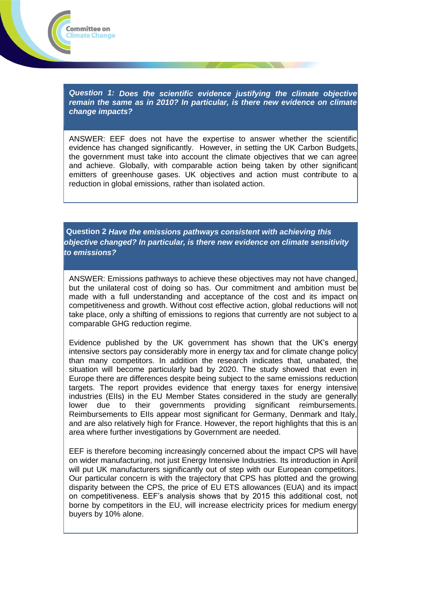*Question 1: Does the scientific evidence justifying the climate objective remain the same as in 2010? In particular, is there new evidence on climate change impacts?*

Committee on Climate Change

ANSWER: EEF does not have the expertise to answer whether the scientific evidence has changed significantly. However, in setting the UK Carbon Budgets, the government must take into account the climate objectives that we can agree and achieve. Globally, with comparable action being taken by other significant emitters of greenhouse gases. UK objectives and action must contribute to a reduction in global emissions, rather than isolated action.

**Question 2** *Have the emissions pathways consistent with achieving this objective changed? In particular, is there new evidence on climate sensitivity to emissions?*

ANSWER: Emissions pathways to achieve these objectives may not have changed, but the unilateral cost of doing so has. Our commitment and ambition must be made with a full understanding and acceptance of the cost and its impact on competitiveness and growth. Without cost effective action, global reductions will not take place, only a shifting of emissions to regions that currently are not subject to a comparable GHG reduction regime.

Evidence published by the UK government has shown that the UK's energy intensive sectors pay considerably more in energy tax and for climate change policy than many competitors. In addition the research indicates that, unabated, the situation will become particularly bad by 2020. The study showed that even in Europe there are differences despite being subject to the same emissions reduction targets. The report provides evidence that energy taxes for energy intensive industries (EIIs) in the EU Member States considered in the study are generally lower due to their governments providing significant reimbursements. Reimbursements to EIIs appear most significant for Germany, Denmark and Italy, and are also relatively high for France. However, the report highlights that this is an area where further investigations by Government are needed.

EEF is therefore becoming increasingly concerned about the impact CPS will have on wider manufacturing, not just Energy Intensive Industries. Its introduction in April will put UK manufacturers significantly out of step with our European competitors. Our particular concern is with the trajectory that CPS has plotted and the growing disparity between the CPS, the price of EU ETS allowances (EUA) and its impact on competitiveness. EEF's analysis shows that by 2015 this additional cost, not borne by competitors in the EU, will increase electricity prices for medium energy buyers by 10% alone.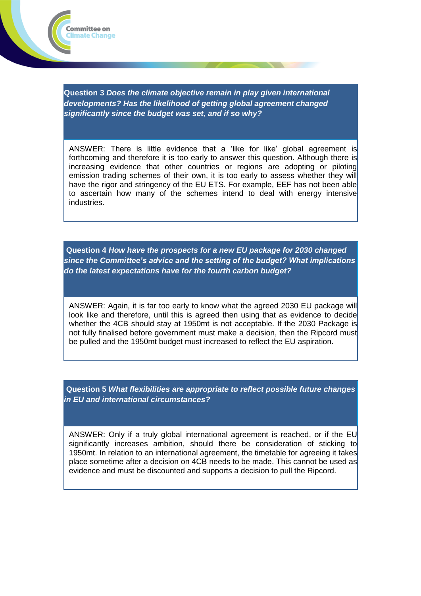

Committee on limate Change

ANSWER: There is little evidence that a 'like for like' global agreement is forthcoming and therefore it is too early to answer this question. Although there is increasing evidence that other countries or regions are adopting or piloting emission trading schemes of their own, it is too early to assess whether they will have the rigor and stringency of the EU ETS. For example, EEF has not been able to ascertain how many of the schemes intend to deal with energy intensive industries.

**Question 4** *How have the prospects for a new EU package for 2030 changed since the Committee's advice and the setting of the budget? What implications do the latest expectations have for the fourth carbon budget?*

ANSWER: Again, it is far too early to know what the agreed 2030 EU package will look like and therefore, until this is agreed then using that as evidence to decide whether the 4CB should stay at 1950mt is not acceptable. If the 2030 Package is not fully finalised before government must make a decision, then the Ripcord must be pulled and the 1950mt budget must increased to reflect the EU aspiration.

**Question 5** *What flexibilities are appropriate to reflect possible future changes in EU and international circumstances?*

ANSWER: Only if a truly global international agreement is reached, or if the EU significantly increases ambition, should there be consideration of sticking to 1950mt. In relation to an international agreement, the timetable for agreeing it takes place sometime after a decision on 4CB needs to be made. This cannot be used as evidence and must be discounted and supports a decision to pull the Ripcord.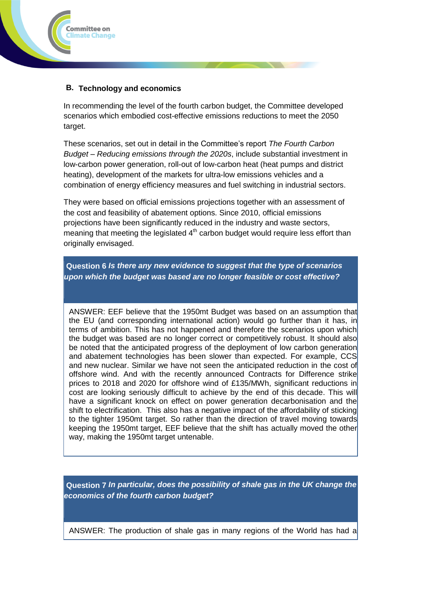

## **B. Technology and economics**

In recommending the level of the fourth carbon budget, the Committee developed scenarios which embodied cost-effective emissions reductions to meet the 2050 target.

These scenarios, set out in detail in the Committee's report *The Fourth Carbon Budget – Reducing emissions through the 2020s*, include substantial investment in low-carbon power generation, roll-out of low-carbon heat (heat pumps and district heating), development of the markets for ultra-low emissions vehicles and a combination of energy efficiency measures and fuel switching in industrial sectors.

They were based on official emissions projections together with an assessment of the cost and feasibility of abatement options. Since 2010, official emissions projections have been significantly reduced in the industry and waste sectors, meaning that meeting the legislated  $4<sup>th</sup>$  carbon budget would require less effort than originally envisaged.

**Question 6** *Is there any new evidence to suggest that the type of scenarios upon which the budget was based are no longer feasible or cost effective?*

ANSWER: EEF believe that the 1950mt Budget was based on an assumption that the EU (and corresponding international action) would go further than it has, in terms of ambition. This has not happened and therefore the scenarios upon which the budget was based are no longer correct or competitively robust. It should also be noted that the anticipated progress of the deployment of low carbon generation and abatement technologies has been slower than expected. For example, CCS and new nuclear. Similar we have not seen the anticipated reduction in the cost of offshore wind. And with the recently announced Contracts for Difference strike prices to 2018 and 2020 for offshore wind of £135/MWh, significant reductions in cost are looking seriously difficult to achieve by the end of this decade. This will have a significant knock on effect on power generation decarbonisation and the shift to electrification. This also has a negative impact of the affordability of sticking to the tighter 1950mt target. So rather than the direction of travel moving towards keeping the 1950mt target, EEF believe that the shift has actually moved the other way, making the 1950mt target untenable.

**Question 7** *In particular, does the possibility of shale gas in the UK change the economics of the fourth carbon budget?*

ANSWER: The production of shale gas in many regions of the World has had a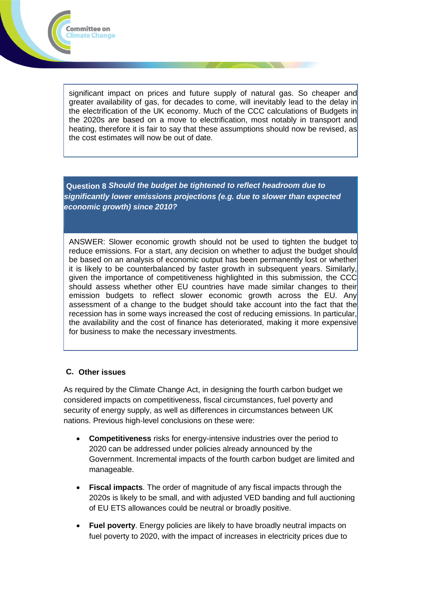

significant impact on prices and future supply of natural gas. So cheaper and greater availability of gas, for decades to come, will inevitably lead to the delay in the electrification of the UK economy. Much of the CCC calculations of Budgets in the 2020s are based on a move to electrification, most notably in transport and heating, therefore it is fair to say that these assumptions should now be revised, as the cost estimates will now be out of date.

**Question 8** *Should the budget be tightened to reflect headroom due to significantly lower emissions projections (e.g. due to slower than expected economic growth) since 2010?*

ANSWER: Slower economic growth should not be used to tighten the budget to reduce emissions. For a start, any decision on whether to adjust the budget should be based on an analysis of economic output has been permanently lost or whether it is likely to be counterbalanced by faster growth in subsequent years. Similarly, given the importance of competitiveness highlighted in this submission, the CCC should assess whether other EU countries have made similar changes to their emission budgets to reflect slower economic growth across the EU. Any assessment of a change to the budget should take account into the fact that the recession has in some ways increased the cost of reducing emissions. In particular, the availability and the cost of finance has deteriorated, making it more expensive for business to make the necessary investments.

## **C. Other issues**

As required by the Climate Change Act, in designing the fourth carbon budget we considered impacts on competitiveness, fiscal circumstances, fuel poverty and security of energy supply, as well as differences in circumstances between UK nations. Previous high-level conclusions on these were:

- **Competitiveness** risks for energy-intensive industries over the period to 2020 can be addressed under policies already announced by the Government. Incremental impacts of the fourth carbon budget are limited and manageable.
- **Fiscal impacts**. The order of magnitude of any fiscal impacts through the 2020s is likely to be small, and with adjusted VED banding and full auctioning of EU ETS allowances could be neutral or broadly positive.
- **Fuel poverty**. Energy policies are likely to have broadly neutral impacts on fuel poverty to 2020, with the impact of increases in electricity prices due to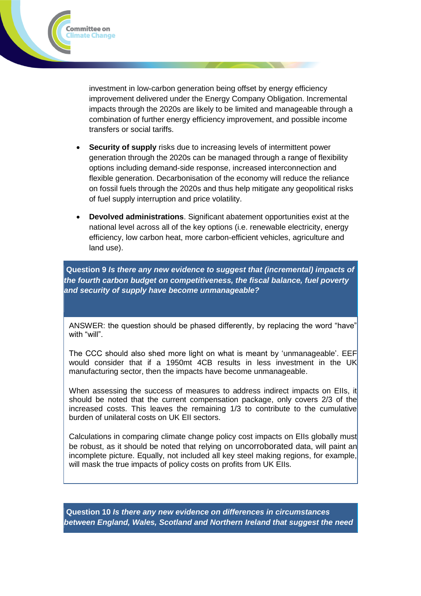

investment in low-carbon generation being offset by energy efficiency improvement delivered under the Energy Company Obligation. Incremental impacts through the 2020s are likely to be limited and manageable through a combination of further energy efficiency improvement, and possible income transfers or social tariffs.

- **Security of supply** risks due to increasing levels of intermittent power generation through the 2020s can be managed through a range of flexibility options including demand-side response, increased interconnection and flexible generation. Decarbonisation of the economy will reduce the reliance on fossil fuels through the 2020s and thus help mitigate any geopolitical risks of fuel supply interruption and price volatility.
- **Devolved administrations**. Significant abatement opportunities exist at the national level across all of the key options (i.e. renewable electricity, energy efficiency, low carbon heat, more carbon-efficient vehicles, agriculture and land use).

**Question 9** *Is there any new evidence to suggest that (incremental) impacts of the fourth carbon budget on competitiveness, the fiscal balance, fuel poverty and security of supply have become unmanageable?*

ANSWER: the question should be phased differently, by replacing the word "have" with "will".

The CCC should also shed more light on what is meant by 'unmanageable'. EEF would consider that if a 1950mt 4CB results in less investment in the UK manufacturing sector, then the impacts have become unmanageable.

When assessing the success of measures to address indirect impacts on Ells, it should be noted that the current compensation package, only covers 2/3 of the increased costs. This leaves the remaining 1/3 to contribute to the cumulative burden of unilateral costs on UK EII sectors.

Calculations in comparing climate change policy cost impacts on EIIs globally must be robust, as it should be noted that relying on uncorroborated data, will paint an incomplete picture. Equally, not included all key steel making regions, for example, will mask the true impacts of policy costs on profits from UK EIIs.

**Question 10** *Is there any new evidence on differences in circumstances between England, Wales, Scotland and Northern Ireland that suggest the need*